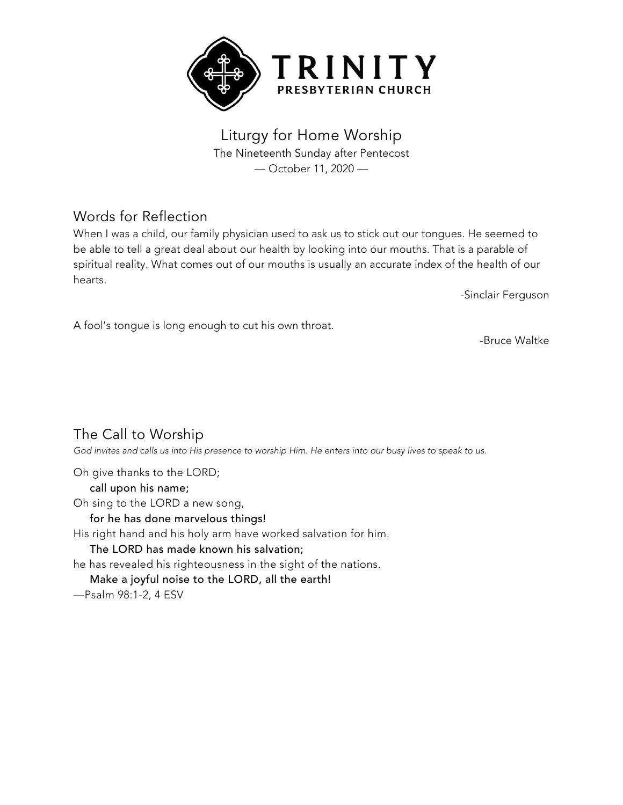

Liturgy for Home Worship The Nineteenth Sunday after Pentecost — October 11, 2020 —

## Words for Reflection

When I was a child, our family physician used to ask us to stick out our tongues. He seemed to be able to tell a great deal about our health by looking into our mouths. That is a parable of spiritual reality. What comes out of our mouths is usually an accurate index of the health of our hearts.

-Sinclair Ferguson

A fool's tongue is long enough to cut his own throat.

-Bruce Waltke

The Call to Worship

God invites and calls us into His presence to worship Him. He enters into our busy lives to speak to us.

Oh give thanks to the LORD; call upon his name; Oh sing to the LORD a new song, for he has done marvelous things! His right hand and his holy arm have worked salvation for him. The LORD has made known his salvation; he has revealed his righteousness in the sight of the nations. Make a joyful noise to the LORD, all the earth! —Psalm 98:1-2, 4 ESV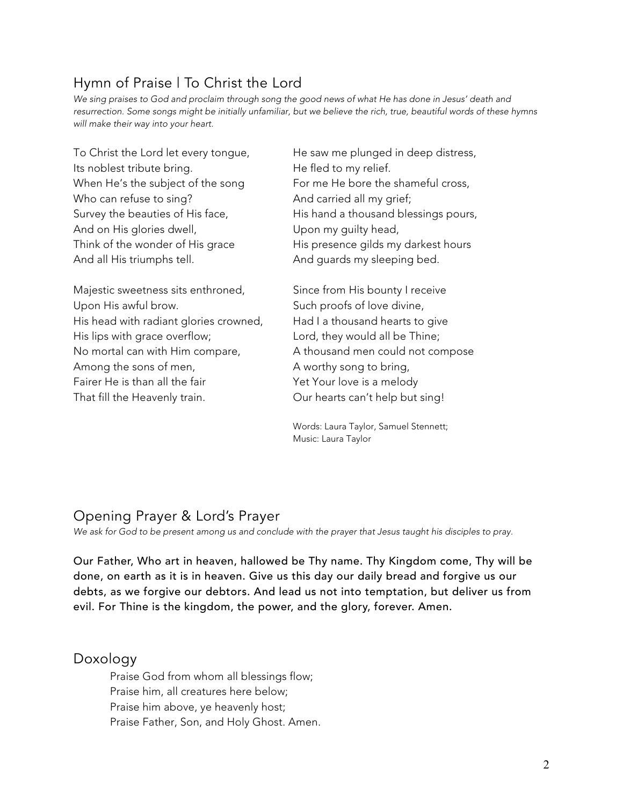# Hymn of Praise | To Christ the Lord

We sing praises to God and proclaim through song the good news of what He has done in Jesus' death and resurrection. Some songs might be initially unfamiliar, but we believe the rich, true, beautiful words of these hymns *will make their way into your heart.*

Its noblest tribute bring. The fled to my relief. Who can refuse to sing? And carried all my grief; And on His glories dwell, and the Upon my guilty head, And all His triumphs tell. And guards my sleeping bed.

Majestic sweetness sits enthroned, Since from His bounty I receive Upon His awful brow. Such proofs of love divine, His head with radiant glories crowned, Had I a thousand hearts to give His lips with grace overflow; Lord, they would all be Thine; No mortal can with Him compare,  $A$  thousand men could not compose Among the sons of men, A worthy song to bring, Fairer He is than all the fair Yet Your love is a melody That fill the Heavenly train. Our hearts can't help but sing!

To Christ the Lord let every tongue, He saw me plunged in deep distress, When He's the subject of the song For me He bore the shameful cross, Survey the beauties of His face, His hand a thousand blessings pours, Think of the wonder of His grace His presence gilds my darkest hours

Words: Laura Taylor, Samuel Stennett; Music: Laura Taylor

# Opening Prayer & Lord's Prayer

*We ask for God to be present among us and conclude with the prayer that Jesus taught his disciples to pray.*

Our Father, Who art in heaven, hallowed be Thy name. Thy Kingdom come, Thy will be done, on earth as it is in heaven. Give us this day our daily bread and forgive us our debts, as we forgive our debtors. And lead us not into temptation, but deliver us from evil. For Thine is the kingdom, the power, and the glory, forever. Amen.

## Doxology

Praise God from whom all blessings flow; Praise him, all creatures here below; Praise him above, ye heavenly host; Praise Father, Son, and Holy Ghost. Amen.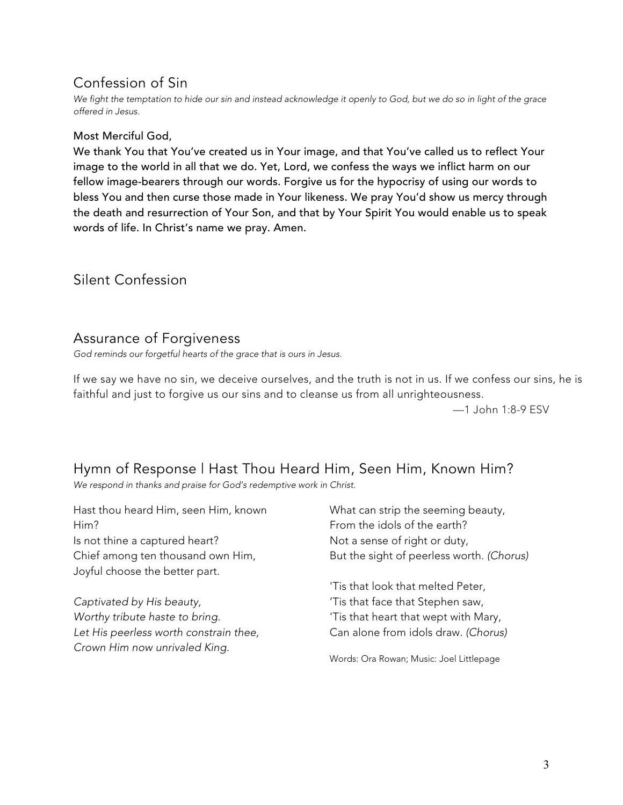## Confession of Sin

We fight the temptation to hide our sin and instead acknowledge it openly to God, but we do so in light of the grace *offered in Jesus.*

#### Most Merciful God,

We thank You that You've created us in Your image, and that You've called us to reflect Your image to the world in all that we do. Yet, Lord, we confess the ways we inflict harm on our fellow image-bearers through our words. Forgive us for the hypocrisy of using our words to bless You and then curse those made in Your likeness. We pray You'd show us mercy through the death and resurrection of Your Son, and that by Your Spirit You would enable us to speak words of life. In Christ's name we pray. Amen.

### Silent Confession

### Assurance of Forgiveness

*God reminds our forgetful hearts of the grace that is ours in Jesus.*

If we say we have no sin, we deceive ourselves, and the truth is not in us. If we confess our sins, he is faithful and just to forgive us our sins and to cleanse us from all unrighteousness.

—1 John 1:8-9 ESV

## Hymn of Response | Hast Thou Heard Him, Seen Him, Known Him?

*We respond in thanks and praise for God's redemptive work in Christ.*

Hast thou heard Him, seen Him, known Him? Is not thine a captured heart? Chief among ten thousand own Him, Joyful choose the better part.

*Captivated by His beauty, Worthy tribute haste to bring. Let His peerless worth constrain thee, Crown Him now unrivaled King.*

What can strip the seeming beauty, From the idols of the earth? Not a sense of right or duty, But the sight of peerless worth. *(Chorus)*

'Tis that look that melted Peter, 'Tis that face that Stephen saw, 'Tis that heart that wept with Mary, Can alone from idols draw. *(Chorus)*

Words: Ora Rowan; Music: Joel Littlepage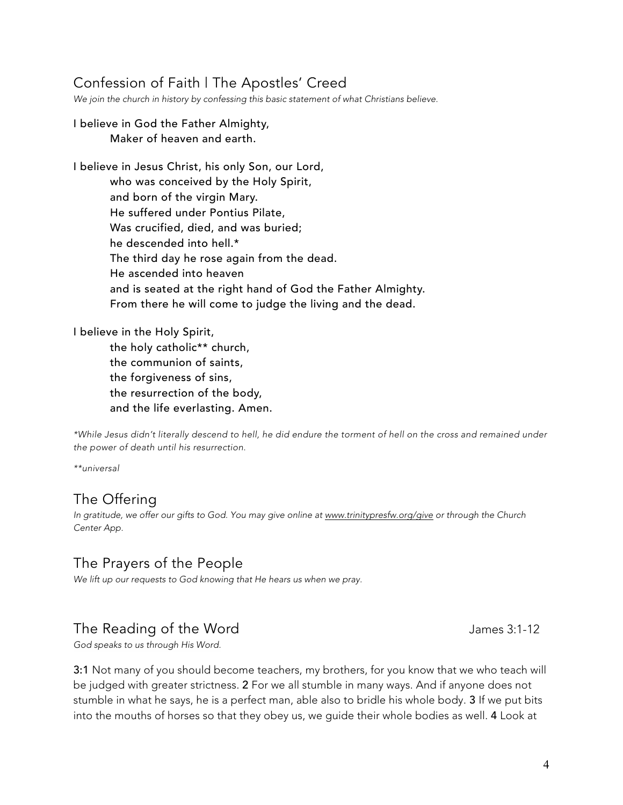## Confession of Faith | The Apostles' Creed

*We join the church in history by confessing this basic statement of what Christians believe.*

#### I believe in God the Father Almighty, Maker of heaven and earth.

I believe in Jesus Christ, his only Son, our Lord, who was conceived by the Holy Spirit, and born of the virgin Mary. He suffered under Pontius Pilate, Was crucified, died, and was buried; he descended into hell.\* The third day he rose again from the dead. He ascended into heaven and is seated at the right hand of God the Father Almighty. From there he will come to judge the living and the dead.

I believe in the Holy Spirit,

the holy catholic\*\* church, the communion of saints, the forgiveness of sins, the resurrection of the body, and the life everlasting. Amen.

\*While Jesus didn't literally descend to hell, he did endure the torment of hell on the cross and remained under *the power of death until his resurrection.*

*\*\*universal*

## The Offering

*In gratitude, we offer our gifts to God. You may give online at www.trinitypresfw.org/give or through the Church Center App.*

### The Prayers of the People

*We lift up our requests to God knowing that He hears us when we pray.*

### The Reading of the Word The Season and the View Assembly the Season of the Word James 3:1-12

*God speaks to us through His Word.*

3:1 Not many of you should become teachers, my brothers, for you know that we who teach will be judged with greater strictness. 2 For we all stumble in many ways. And if anyone does not stumble in what he says, he is a perfect man, able also to bridle his whole body. 3 If we put bits into the mouths of horses so that they obey us, we guide their whole bodies as well. 4 Look at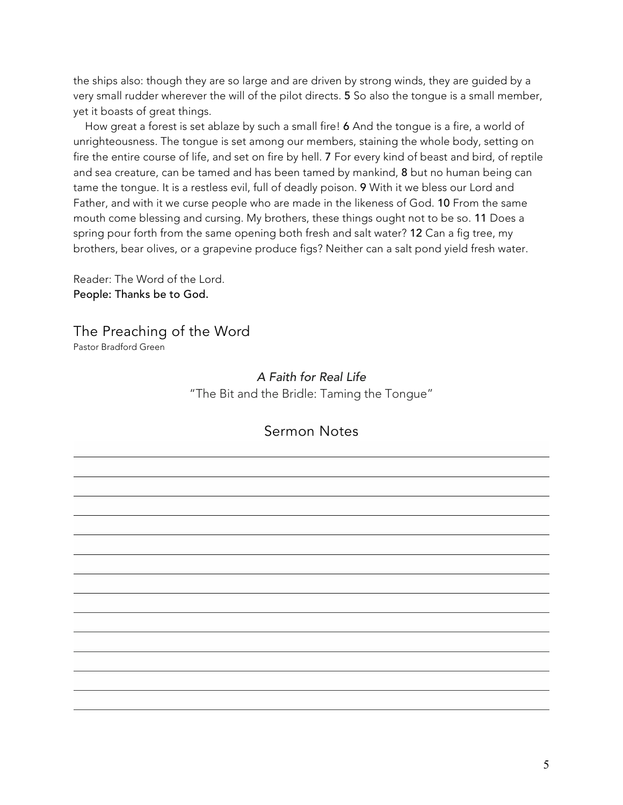the ships also: though they are so large and are driven by strong winds, they are guided by a very small rudder wherever the will of the pilot directs. 5 So also the tongue is a small member, yet it boasts of great things.

How great a forest is set ablaze by such a small fire! 6 And the tongue is a fire, a world of unrighteousness. The tongue is set among our members, staining the whole body, setting on fire the entire course of life, and set on fire by hell. 7 For every kind of beast and bird, of reptile and sea creature, can be tamed and has been tamed by mankind, 8 but no human being can tame the tongue. It is a restless evil, full of deadly poison. 9 With it we bless our Lord and Father, and with it we curse people who are made in the likeness of God. 10 From the same mouth come blessing and cursing. My brothers, these things ought not to be so. 11 Does a spring pour forth from the same opening both fresh and salt water? 12 Can a fig tree, my brothers, bear olives, or a grapevine produce figs? Neither can a salt pond yield fresh water.

Reader: The Word of the Lord. People: Thanks be to God.

The Preaching of the Word Pastor Bradford Green

> *A Faith for Real Life* "The Bit and the Bridle: Taming the Tongue"

### Sermon Notes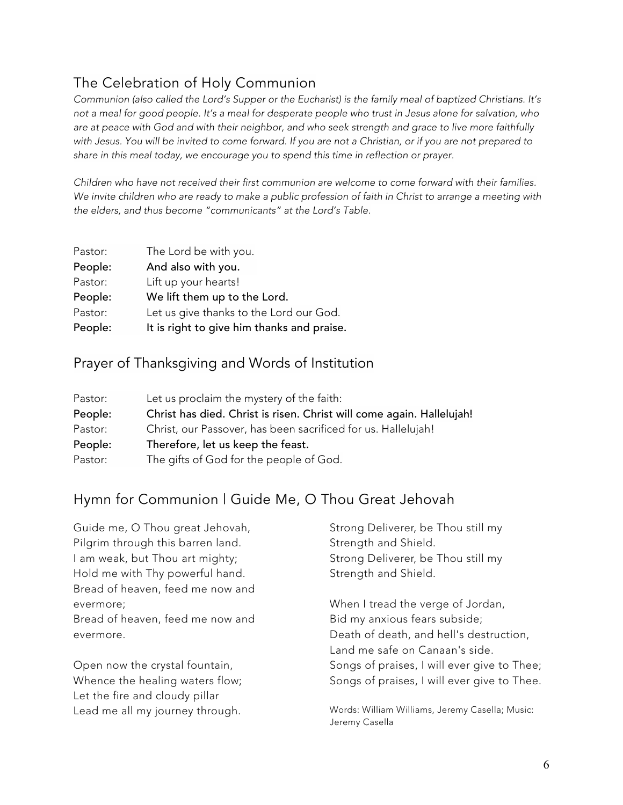# The Celebration of Holy Communion

Communion (also called the Lord's Supper or the Eucharist) is the family meal of baptized Christians. It's not a meal for good people. It's a meal for desperate people who trust in Jesus alone for salvation, who are at peace with God and with their neighbor, and who seek strength and grace to live more faithfully with Jesus. You will be invited to come forward. If you are not a Christian, or if you are not prepared to *share in this meal today, we encourage you to spend this time in reflection or prayer.*

*Children who have not received their first communion are welcome to come forward with their families.* We invite children who are ready to make a public profession of faith in Christ to arrange a meeting with *the elders, and thus become "communicants" at the Lord's Table.*

| Pastor: | The Lord be with you.                      |
|---------|--------------------------------------------|
| People: | And also with you.                         |
| Pastor: | Lift up your hearts!                       |
| People: | We lift them up to the Lord.               |
| Pastor: | Let us give thanks to the Lord our God.    |
| People: | It is right to give him thanks and praise. |

### Prayer of Thanksgiving and Words of Institution

| Pastor: | Let us proclaim the mystery of the faith:                             |
|---------|-----------------------------------------------------------------------|
| People: | Christ has died. Christ is risen. Christ will come again. Hallelujah! |
| Pastor: | Christ, our Passover, has been sacrificed for us. Hallelujah!         |
| People: | Therefore, let us keep the feast.                                     |
| Pastor: | The gifts of God for the people of God.                               |

## Hymn for Communion | Guide Me, O Thou Great Jehovah

| Guide me, O Thou great Jehovah,   | Strong Deliverer, be Thou still my                                |  |
|-----------------------------------|-------------------------------------------------------------------|--|
| Pilgrim through this barren land. | Strength and Shield.                                              |  |
| I am weak, but Thou art mighty;   | Strong Deliverer, be Thou still my                                |  |
| Hold me with Thy powerful hand.   | Strength and Shield.                                              |  |
| Bread of heaven, feed me now and  |                                                                   |  |
| evermore;                         | When I tread the verge of Jordan,                                 |  |
| Bread of heaven, feed me now and  | Bid my anxious fears subside;                                     |  |
| evermore.                         | Death of death, and hell's destruction,                           |  |
|                                   | Land me safe on Canaan's side.                                    |  |
| Open now the crystal fountain,    | Songs of praises, I will ever give to Thee;                       |  |
| Whence the healing waters flow;   | Songs of praises, I will ever give to Thee.                       |  |
| Let the fire and cloudy pillar    |                                                                   |  |
| Lead me all my journey through.   | Words: William Williams, Jeremy Casella; Music:<br>Jeremy Casella |  |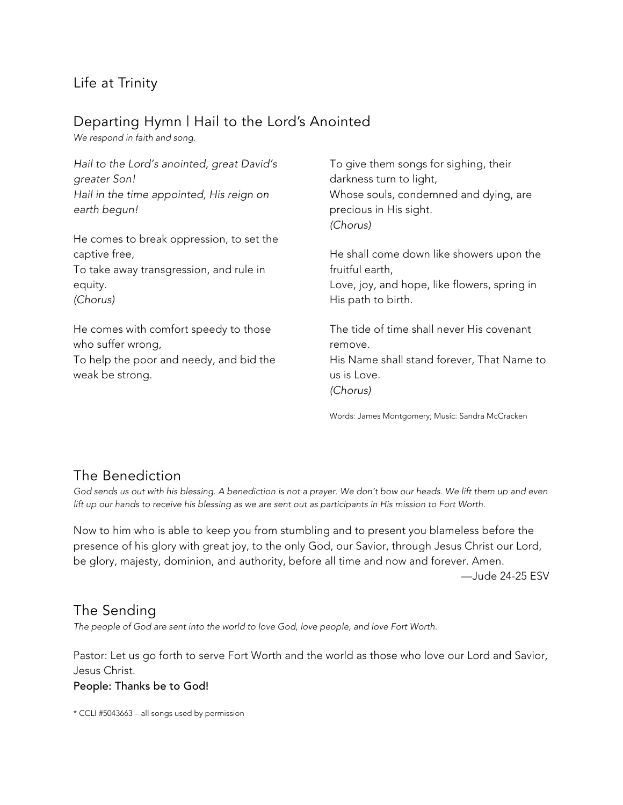## Life at Trinity

## Departing Hymn | Hail to the Lord's Anointed

*We respond in faith and song.*

| Hail to the Lord's anointed, great David's<br>greater Son!<br>Hail in the time appointed, His reign on<br>earth begun! | To give them songs for sighing, their<br>darkness turn to light,<br>Whose souls, condemned and dying, are<br>precious in His sight.<br>(Chorus) |
|------------------------------------------------------------------------------------------------------------------------|-------------------------------------------------------------------------------------------------------------------------------------------------|
| He comes to break oppression, to set the                                                                               |                                                                                                                                                 |
| captive free,                                                                                                          | He shall come down like showers upon the                                                                                                        |
| To take away transgression, and rule in                                                                                | fruitful earth,                                                                                                                                 |
| equity.                                                                                                                | Love, joy, and hope, like flowers, spring in                                                                                                    |
| (Chorus)                                                                                                               | His path to birth.                                                                                                                              |
| He comes with comfort speedy to those<br>who suffer wrong,                                                             | The tide of time shall never His covenant<br>remove.                                                                                            |
| To help the poor and needy, and bid the<br>weak be strong.                                                             | His Name shall stand forever, That Name to<br>us is Love.                                                                                       |
|                                                                                                                        | (Chorus)                                                                                                                                        |

Words: James Montgomery; Music: Sandra McCracken

## The Benediction

God sends us out with his blessing. A benediction is not a prayer. We don't bow our heads. We lift them up and even lift up our hands to receive his blessing as we are sent out as participants in His mission to Fort Worth.

Now to him who is able to keep you from stumbling and to present you blameless before the presence of his glory with great joy, to the only God, our Savior, through Jesus Christ our Lord, be glory, majesty, dominion, and authority, before all time and now and forever. Amen.

—Jude 24-25 ESV

## The Sending

*The people of God are sent into the world to love God, love people, and love Fort Worth.*

Pastor: Let us go forth to serve Fort Worth and the world as those who love our Lord and Savior, Jesus Christ.

#### People: Thanks be to God!

\* CCLI #5043663 – all songs used by permission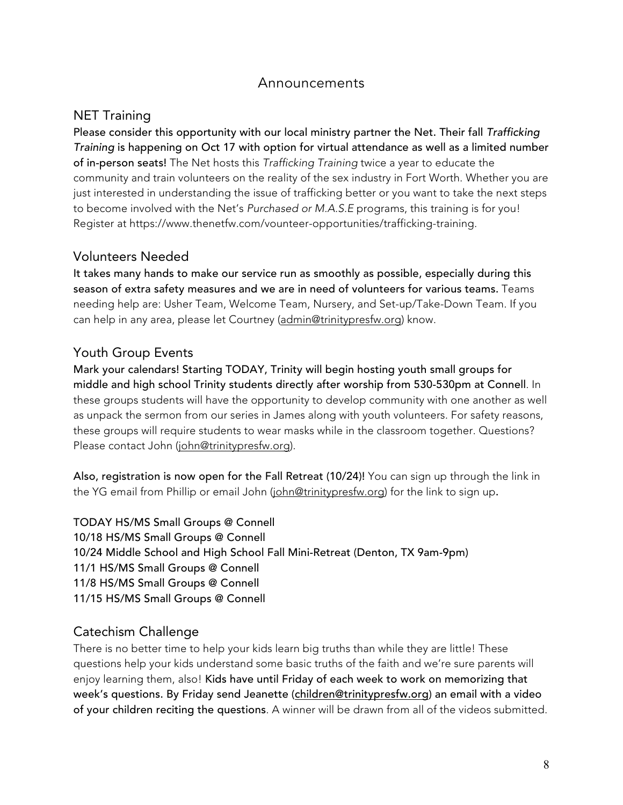### Announcements

### NET Training

Please consider this opportunity with our local ministry partner the Net. Their fall *Trafficking Training* is happening on Oct 17 with option for virtual attendance as well as a limited number of in-person seats! The Net hosts this *Trafficking Training* twice a year to educate the community and train volunteers on the reality of the sex industry in Fort Worth. Whether you are just interested in understanding the issue of trafficking better or you want to take the next steps to become involved with the Net's *Purchased or M.A.S.E* programs, this training is for you! Register at https://www.thenetfw.com/vounteer-opportunities/trafficking-training.

### Volunteers Needed

It takes many hands to make our service run as smoothly as possible, especially during this season of extra safety measures and we are in need of volunteers for various teams. Teams needing help are: Usher Team, Welcome Team, Nursery, and Set-up/Take-Down Team. If you can help in any area, please let Courtney (admin@trinitypresfw.org) know.

### Youth Group Events

Mark your calendars! Starting TODAY, Trinity will begin hosting youth small groups for middle and high school Trinity students directly after worship from 530-530pm at Connell. In these groups students will have the opportunity to develop community with one another as well as unpack the sermon from our series in James along with youth volunteers. For safety reasons, these groups will require students to wear masks while in the classroom together. Questions? Please contact John (john@trinitypresfw.org).

Also, registration is now open for the Fall Retreat (10/24)! You can sign up through the link in the YG email from Phillip or email John (john@trinitypresfw.org) for the link to sign up.

TODAY HS/MS Small Groups @ Connell 10/18 HS/MS Small Groups @ Connell 10/24 Middle School and High School Fall Mini-Retreat (Denton, TX 9am-9pm) 11/1 HS/MS Small Groups @ Connell 11/8 HS/MS Small Groups @ Connell 11/15 HS/MS Small Groups @ Connell

### Catechism Challenge

There is no better time to help your kids learn big truths than while they are little! These questions help your kids understand some basic truths of the faith and we're sure parents will enjoy learning them, also! Kids have until Friday of each week to work on memorizing that week's questions. By Friday send Jeanette (children@trinitypresfw.org) an email with a video of your children reciting the questions. A winner will be drawn from all of the videos submitted.